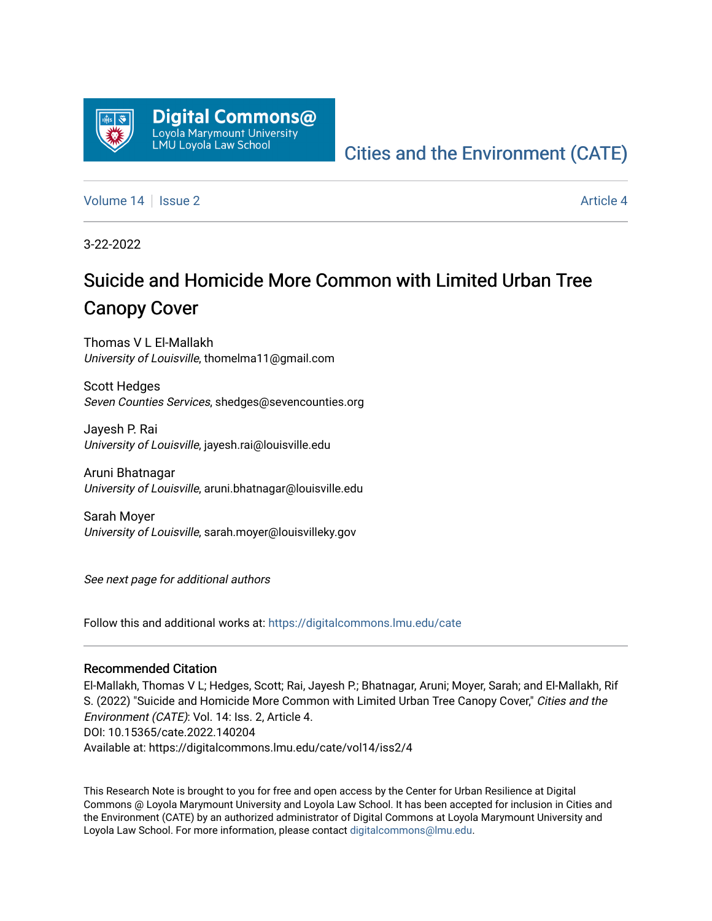

## [Cities and the Environment \(CATE\)](https://digitalcommons.lmu.edu/cate)

[Volume 14](https://digitalcommons.lmu.edu/cate/vol14) Suitsue 2 [Article 4](https://digitalcommons.lmu.edu/cate/vol14/iss2/4) Article 4

3-22-2022

# Suicide and Homicide More Common with Limited Urban Tree Canopy Cover

Thomas V L El-Mallakh University of Louisville, thomelma11@gmail.com

Scott Hedges Seven Counties Services, shedges@sevencounties.org

Jayesh P. Rai University of Louisville, jayesh.rai@louisville.edu

Aruni Bhatnagar University of Louisville, aruni.bhatnagar@louisville.edu

Sarah Moyer University of Louisville, sarah.moyer@louisvilleky.gov

See next page for additional authors

Follow this and additional works at: [https://digitalcommons.lmu.edu/cate](https://digitalcommons.lmu.edu/cate?utm_source=digitalcommons.lmu.edu%2Fcate%2Fvol14%2Fiss2%2F4&utm_medium=PDF&utm_campaign=PDFCoverPages) 

#### Recommended Citation

El-Mallakh, Thomas V L; Hedges, Scott; Rai, Jayesh P.; Bhatnagar, Aruni; Moyer, Sarah; and El-Mallakh, Rif S. (2022) "Suicide and Homicide More Common with Limited Urban Tree Canopy Cover," Cities and the Environment (CATE): Vol. 14: Iss. 2, Article 4. DOI: 10.15365/cate.2022.140204 Available at: https://digitalcommons.lmu.edu/cate/vol14/iss2/4

This Research Note is brought to you for free and open access by the Center for Urban Resilience at Digital Commons @ Loyola Marymount University and Loyola Law School. It has been accepted for inclusion in Cities and the Environment (CATE) by an authorized administrator of Digital Commons at Loyola Marymount University and Loyola Law School. For more information, please contact [digitalcommons@lmu.edu](mailto:digitalcommons@lmu.edu).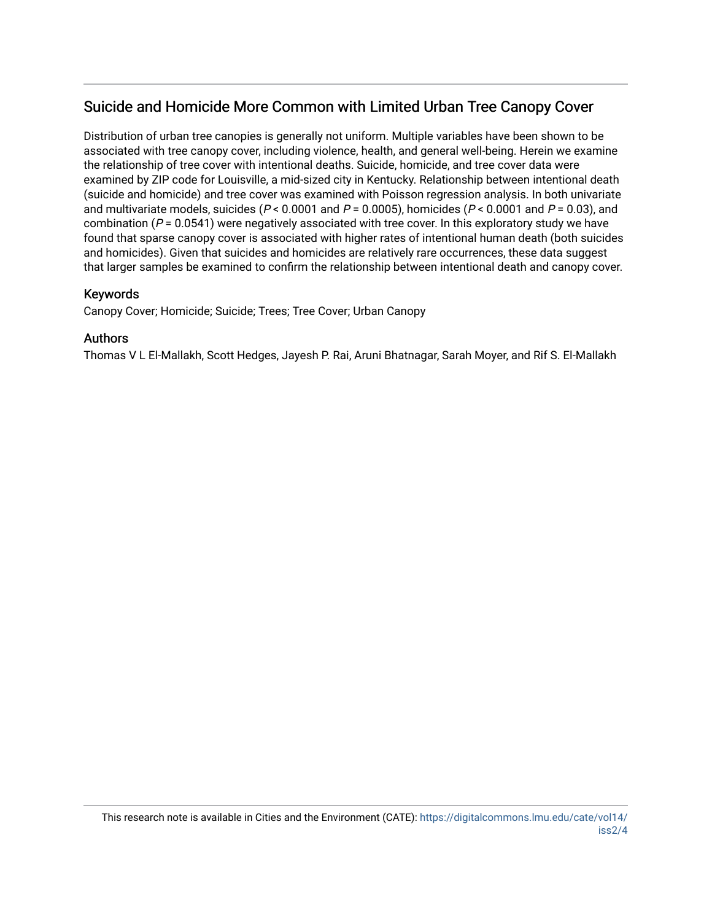### Suicide and Homicide More Common with Limited Urban Tree Canopy Cover

Distribution of urban tree canopies is generally not uniform. Multiple variables have been shown to be associated with tree canopy cover, including violence, health, and general well-being. Herein we examine the relationship of tree cover with intentional deaths. Suicide, homicide, and tree cover data were examined by ZIP code for Louisville, a mid-sized city in Kentucky. Relationship between intentional death (suicide and homicide) and tree cover was examined with Poisson regression analysis. In both univariate and multivariate models, suicides ( $P < 0.0001$  and  $P = 0.0005$ ), homicides ( $P < 0.0001$  and  $P = 0.03$ ), and combination ( $P = 0.0541$ ) were negatively associated with tree cover. In this exploratory study we have found that sparse canopy cover is associated with higher rates of intentional human death (both suicides and homicides). Given that suicides and homicides are relatively rare occurrences, these data suggest that larger samples be examined to confirm the relationship between intentional death and canopy cover.

#### Keywords

Canopy Cover; Homicide; Suicide; Trees; Tree Cover; Urban Canopy

#### Authors

Thomas V L El-Mallakh, Scott Hedges, Jayesh P. Rai, Aruni Bhatnagar, Sarah Moyer, and Rif S. El-Mallakh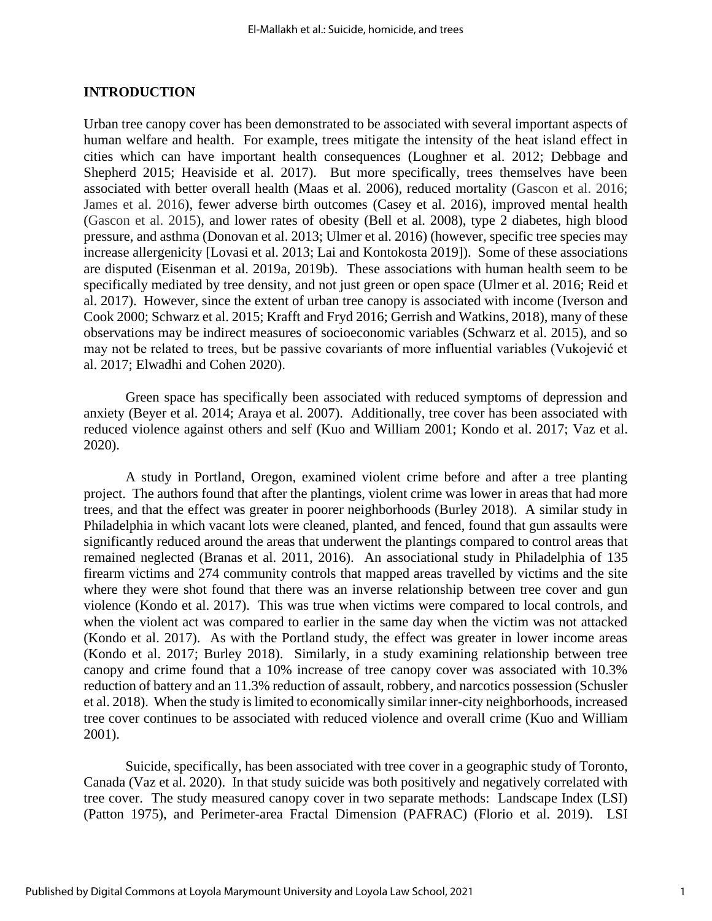#### **INTRODUCTION**

Urban tree canopy cover has been demonstrated to be associated with several important aspects of human welfare and health. For example, trees mitigate the intensity of the heat island effect in cities which can have important health consequences (Loughner et al. 2012; Debbage and Shepherd 2015; Heaviside et al. 2017). But more specifically, trees themselves have been associated with better overall health (Maas et al. 2006), reduced mortality (Gascon et al. 2016; James et al. 2016), fewer adverse birth outcomes (Casey et al. 2016), improved mental health (Gascon et al. 2015), and lower rates of obesity (Bell et al. 2008), type 2 diabetes, high blood pressure, and asthma (Donovan et al. 2013; Ulmer et al. 2016) (however, specific tree species may increase allergenicity [Lovasi et al. 2013; Lai and Kontokosta 2019]). Some of these associations are disputed (Eisenman et al. 2019a, 2019b). These associations with human health seem to be specifically mediated by tree density, and not just green or open space (Ulmer et al. 2016; Reid et al. 2017). However, since the extent of urban tree canopy is associated with income (Iverson and Cook 2000; Schwarz et al. 2015; Krafft and Fryd 2016; Gerrish and Watkins, 2018), many of these observations may be indirect measures of socioeconomic variables (Schwarz et al. 2015), and so may not be related to trees, but be passive covariants of more influential variables (Vukojević et al. 2017; Elwadhi and Cohen 2020).

Green space has specifically been associated with reduced symptoms of depression and anxiety (Beyer et al. 2014; Araya et al. 2007). Additionally, tree cover has been associated with reduced violence against others and self (Kuo and William 2001; Kondo et al. 2017; Vaz et al. 2020).

A study in Portland, Oregon, examined violent crime before and after a tree planting project. The authors found that after the plantings, violent crime was lower in areas that had more trees, and that the effect was greater in poorer neighborhoods (Burley 2018). A similar study in Philadelphia in which vacant lots were cleaned, planted, and fenced, found that gun assaults were significantly reduced around the areas that underwent the plantings compared to control areas that remained neglected (Branas et al. 2011, 2016). An associational study in Philadelphia of 135 firearm victims and 274 community controls that mapped areas travelled by victims and the site where they were shot found that there was an inverse relationship between tree cover and gun violence (Kondo et al. 2017). This was true when victims were compared to local controls, and when the violent act was compared to earlier in the same day when the victim was not attacked (Kondo et al. 2017). As with the Portland study, the effect was greater in lower income areas (Kondo et al. 2017; Burley 2018). Similarly, in a study examining relationship between tree canopy and crime found that a 10% increase of tree canopy cover was associated with 10.3% reduction of battery and an 11.3% reduction of assault, robbery, and narcotics possession (Schusler et al. 2018). When the study is limited to economically similar inner-city neighborhoods, increased tree cover continues to be associated with reduced violence and overall crime (Kuo and William 2001).

Suicide, specifically, has been associated with tree cover in a geographic study of Toronto, Canada (Vaz et al. 2020). In that study suicide was both positively and negatively correlated with tree cover. The study measured canopy cover in two separate methods: Landscape Index (LSI) (Patton 1975), and Perimeter-area Fractal Dimension (PAFRAC) (Florio et al. 2019). LSI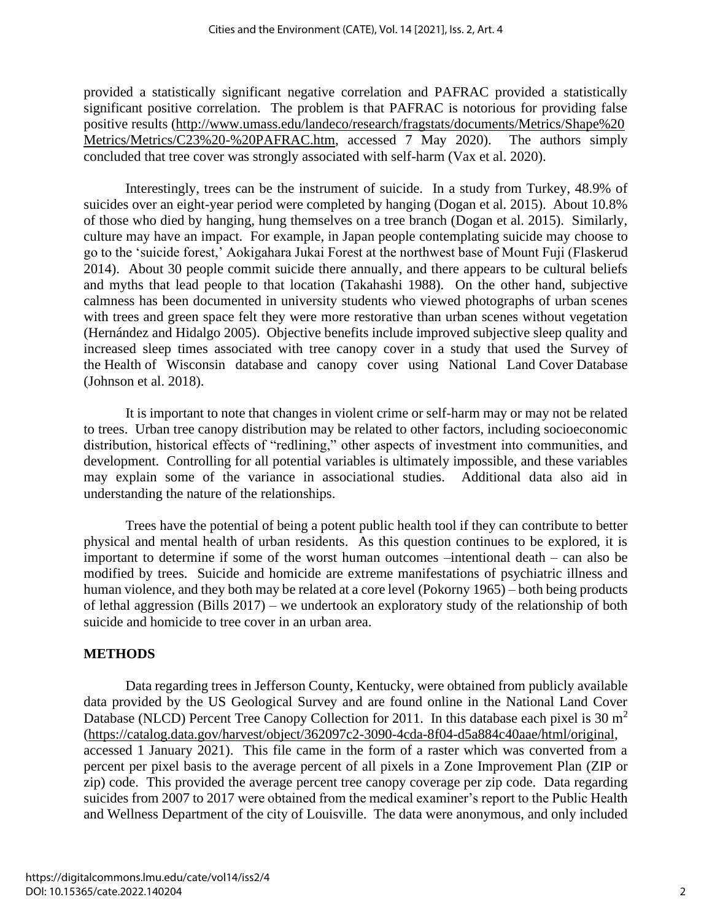provided a statistically significant negative correlation and PAFRAC provided a statistically significant positive correlation. The problem is that PAFRAC is notorious for providing false positive results [\(http://www.umass.edu/landeco/research/fragstats/documents/Metrics/Shape%20](http://www.umass.edu/landeco/research/fragstats/documents/Metrics/Shape%20Metrics/Metrics/C23%20-%20PAFRAC.htm) [Metrics/Metrics/C23%20-%20PAFRAC.htm,](http://www.umass.edu/landeco/research/fragstats/documents/Metrics/Shape%20Metrics/Metrics/C23%20-%20PAFRAC.htm) accessed 7 May 2020). The authors simply concluded that tree cover was strongly associated with self-harm (Vax et al. 2020).

Interestingly, trees can be the instrument of suicide. In a study from Turkey, 48.9% of suicides over an eight-year period were completed by hanging (Dogan et al. 2015). About 10.8% of those who died by hanging, hung themselves on a tree branch (Dogan et al. 2015). Similarly, culture may have an impact. For example, in Japan people contemplating suicide may choose to go to the 'suicide forest,' Aokigahara Jukai Forest at the northwest base of Mount Fuji (Flaskerud 2014). About 30 people commit suicide there annually, and there appears to be cultural beliefs and myths that lead people to that location (Takahashi 1988). On the other hand, subjective calmness has been documented in university students who viewed photographs of urban scenes with trees and green space felt they were more restorative than urban scenes without vegetation (Hernández and Hidalgo 2005). Objective benefits include improved subjective sleep quality and increased sleep times associated with tree canopy cover in a study that used the Survey of the Health of Wisconsin database and canopy cover using National Land Cover Database (Johnson et al. 2018).

It is important to note that changes in violent crime or self-harm may or may not be related to trees. Urban tree canopy distribution may be related to other factors, including socioeconomic distribution, historical effects of "redlining," other aspects of investment into communities, and development. Controlling for all potential variables is ultimately impossible, and these variables may explain some of the variance in associational studies. Additional data also aid in understanding the nature of the relationships.

Trees have the potential of being a potent public health tool if they can contribute to better physical and mental health of urban residents. As this question continues to be explored, it is important to determine if some of the worst human outcomes –intentional death – can also be modified by trees. Suicide and homicide are extreme manifestations of psychiatric illness and human violence, and they both may be related at a core level (Pokorny 1965) – both being products of lethal aggression (Bills 2017) – we undertook an exploratory study of the relationship of both suicide and homicide to tree cover in an urban area.

#### **METHODS**

Data regarding trees in Jefferson County, Kentucky, were obtained from publicly available data provided by the US Geological Survey and are found online in the National Land Cover Database (NLCD) Percent Tree Canopy Collection for 2011. In this database each pixel is 30 m<sup>2</sup> [\(https://catalog.data.gov/harvest/object/362097c2-3090-4cda-8f04-d5a884c40aae/html/original,](https://catalog.data.gov/harvest/object/362097c2-3090-4cda-8f04-d5a884c40aae/html/original) accessed 1 January 2021). This file came in the form of a raster which was converted from a percent per pixel basis to the average percent of all pixels in a Zone Improvement Plan (ZIP or zip) code. This provided the average percent tree canopy coverage per zip code. Data regarding suicides from 2007 to 2017 were obtained from the medical examiner's report to the Public Health and Wellness Department of the city of Louisville. The data were anonymous, and only included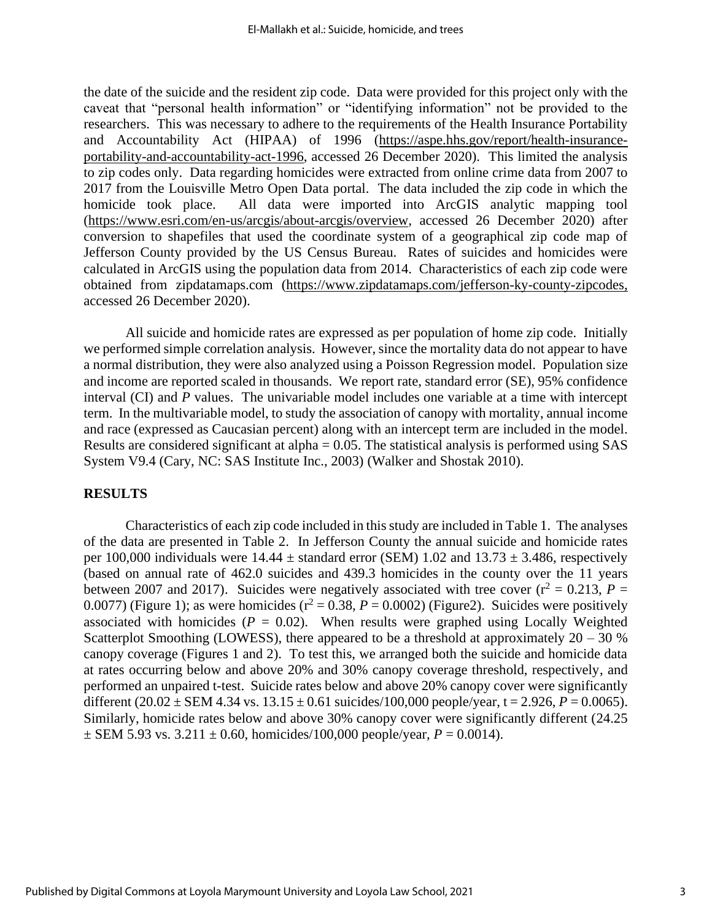the date of the suicide and the resident zip code. Data were provided for this project only with the caveat that "personal health information" or "identifying information" not be provided to the researchers. This was necessary to adhere to the requirements of the Health Insurance Portability and Accountability Act (HIPAA) of 1996 [\(https://aspe.hhs.gov/report/health-insurance](https://aspe.hhs.gov/report/health-insurance-portability-and-accountability-act-1996)[portability-and-accountability-act-1996,](https://aspe.hhs.gov/report/health-insurance-portability-and-accountability-act-1996) accessed 26 December 2020). This limited the analysis to zip codes only. Data regarding homicides were extracted from online crime data from 2007 to 2017 from the Louisville Metro Open Data portal. The data included the zip code in which the homicide took place. All data were imported into ArcGIS analytic mapping tool [\(https://www.esri.com/en-us/arcgis/about-arcgis/overview,](https://www.esri.com/en-us/arcgis/about-arcgis/overview) accessed 26 December 2020) after conversion to shapefiles that used the coordinate system of a geographical zip code map of Jefferson County provided by the US Census Bureau. Rates of suicides and homicides were calculated in ArcGIS using the population data from 2014. Characteristics of each zip code were obtained from zipdatamaps.com [\(https://www.zipdatamaps.com/jefferson-ky-county-zipcodes,](https://www.zipdatamaps.com/jefferson-ky-county-zipcodes) accessed 26 December 2020).

All suicide and homicide rates are expressed as per population of home zip code. Initially we performed simple correlation analysis. However, since the mortality data do not appear to have a normal distribution, they were also analyzed using a Poisson Regression model. Population size and income are reported scaled in thousands. We report rate, standard error (SE), 95% confidence interval (CI) and *P* values. The univariable model includes one variable at a time with intercept term. In the multivariable model, to study the association of canopy with mortality, annual income and race (expressed as Caucasian percent) along with an intercept term are included in the model. Results are considered significant at alpha = 0.05. The statistical analysis is performed using SAS System V9.4 (Cary, NC: SAS Institute Inc., 2003) (Walker and Shostak 2010).

#### **RESULTS**

Characteristics of each zip code included in this study are included in Table 1. The analyses of the data are presented in Table 2. In Jefferson County the annual suicide and homicide rates per 100,000 individuals were  $14.44 \pm$  standard error (SEM) 1.02 and  $13.73 \pm 3.486$ , respectively (based on annual rate of 462.0 suicides and 439.3 homicides in the county over the 11 years between 2007 and 2017). Suicides were negatively associated with tree cover  $(r^2 = 0.213, P =$ 0.0077) (Figure 1); as were homicides  $(r^2 = 0.38, P = 0.0002)$  (Figure2). Suicides were positively associated with homicides  $(P = 0.02)$ . When results were graphed using Locally Weighted Scatterplot Smoothing (LOWESS), there appeared to be a threshold at approximately  $20 - 30$  % canopy coverage (Figures 1 and 2). To test this, we arranged both the suicide and homicide data at rates occurring below and above 20% and 30% canopy coverage threshold, respectively, and performed an unpaired t-test. Suicide rates below and above 20% canopy cover were significantly different  $(20.02 \pm \text{SEM} 4.34 \text{ vs. } 13.15 \pm 0.61 \text{ suicide/s}/100,000 \text{ people/year}, t = 2.926, P = 0.0065).$ Similarly, homicide rates below and above 30% canopy cover were significantly different (24.25  $\pm$  SEM 5.93 vs. 3.211  $\pm$  0.60, homicides/100,000 people/year, *P* = 0.0014).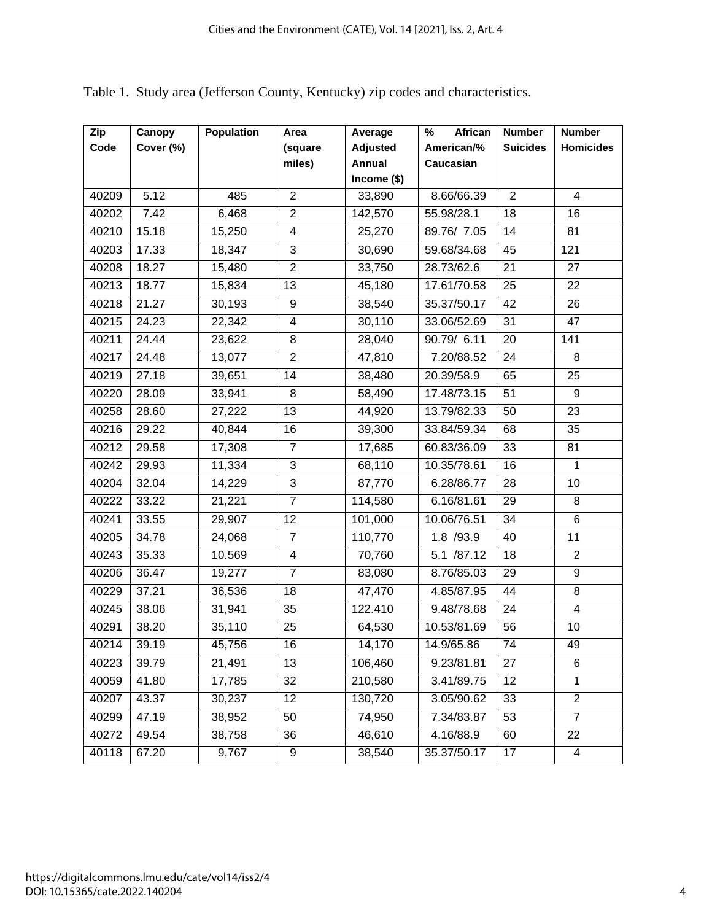| Zip   | Canopy    | <b>Population</b> | Area                     | Average         | %<br>African | <b>Number</b>   | <b>Number</b>    |
|-------|-----------|-------------------|--------------------------|-----------------|--------------|-----------------|------------------|
| Code  | Cover (%) |                   | (square                  | <b>Adjusted</b> | American/%   | <b>Suicides</b> | <b>Homicides</b> |
|       |           |                   | miles)                   | Annual          | Caucasian    |                 |                  |
|       |           |                   |                          | Income $($)$    |              |                 |                  |
| 40209 | 5.12      | 485               | $\overline{2}$           | 33,890          | 8.66/66.39   | $\overline{2}$  | $\overline{4}$   |
| 40202 | 7.42      | 6,468             | $\overline{2}$           | 142,570         | 55.98/28.1   | 18              | 16               |
| 40210 | 15.18     | 15,250            | $\overline{\mathbf{4}}$  | 25,270          | 89.76/7.05   | 14              | 81               |
| 40203 | 17.33     | 18,347            | $\mathbf{3}$             | 30,690          | 59.68/34.68  | 45              | 121              |
| 40208 | 18.27     | 15,480            | $\overline{2}$           | 33,750          | 28.73/62.6   | 21              | 27               |
| 40213 | 18.77     | 15,834            | $\overline{13}$          | 45,180          | 17.61/70.58  | 25              | 22               |
| 40218 | 21.27     | 30,193            | 9                        | 38,540          | 35.37/50.17  | 42              | 26               |
| 40215 | 24.23     | 22,342            | $\overline{\mathbf{4}}$  | 30,110          | 33.06/52.69  | 31              | 47               |
| 40211 | 24.44     | 23,622            | 8                        | 28,040          | 90.79/ 6.11  | 20              | 141              |
| 40217 | 24.48     | 13,077            | $\overline{2}$           | 47,810          | 7.20/88.52   | 24              | 8                |
| 40219 | 27.18     | 39,651            | 14                       | 38,480          | 20.39/58.9   | 65              | 25               |
| 40220 | 28.09     | 33,941            | $\overline{8}$           | 58,490          | 17.48/73.15  | 51              | $\overline{9}$   |
| 40258 | 28.60     | 27,222            | 13                       | 44,920          | 13.79/82.33  | 50              | 23               |
| 40216 | 29.22     | 40,844            | 16                       | 39,300          | 33.84/59.34  | 68              | 35               |
| 40212 | 29.58     | 17,308            | $\overline{7}$           | 17,685          | 60.83/36.09  | 33              | 81               |
| 40242 | 29.93     | 11,334            | $\overline{3}$           | 68,110          | 10.35/78.61  | 16              | 1                |
| 40204 | 32.04     | 14,229            | 3                        | 87,770          | 6.28/86.77   | 28              | 10               |
| 40222 | 33.22     | 21,221            | $\overline{7}$           | 114,580         | 6.16/81.61   | 29              | 8                |
| 40241 | 33.55     | 29,907            | 12                       | 101,000         | 10.06/76.51  | 34              | 6                |
| 40205 | 34.78     | 24,068            | $\overline{7}$           | 110,770         | 1.8 /93.9    | 40              | 11               |
| 40243 | 35.33     | 10.569            | $\overline{\mathcal{A}}$ | 70,760          | 5.1 /87.12   | 18              | $\overline{2}$   |
| 40206 | 36.47     | 19,277            | $\overline{7}$           | 83,080          | 8.76/85.03   | 29              | $\boldsymbol{9}$ |
| 40229 | 37.21     | 36,536            | 18                       | 47,470          | 4.85/87.95   | 44              | 8                |
| 40245 | 38.06     | 31,941            | 35                       | 122.410         | 9.48/78.68   | 24              | $\overline{4}$   |
| 40291 | 38.20     | 35,110            | 25                       | 64,530          | 10.53/81.69  | 56              | 10               |
| 40214 | 39.19     | 45,756            | 16                       | 14,170          | 14.9/65.86   | 74              | 49               |
| 40223 | 39.79     | 21,491            | $\overline{13}$          | 106,460         | 9.23/81.81   | 27              | 6                |
| 40059 | 41.80     | 17,785            | 32                       | 210,580         | 3.41/89.75   | 12              | 1                |
| 40207 | 43.37     | 30,237            | 12                       | 130,720         | 3.05/90.62   | 33              | $\overline{2}$   |
| 40299 | 47.19     | 38,952            | 50                       | 74,950          | 7.34/83.87   | 53              | $\overline{7}$   |
| 40272 | 49.54     | 38,758            | 36                       | 46,610          | 4.16/88.9    | 60              | 22               |
| 40118 | 67.20     | 9,767             | 9                        | 38,540          | 35.37/50.17  | 17              | 4                |

Table 1. Study area (Jefferson County, Kentucky) zip codes and characteristics.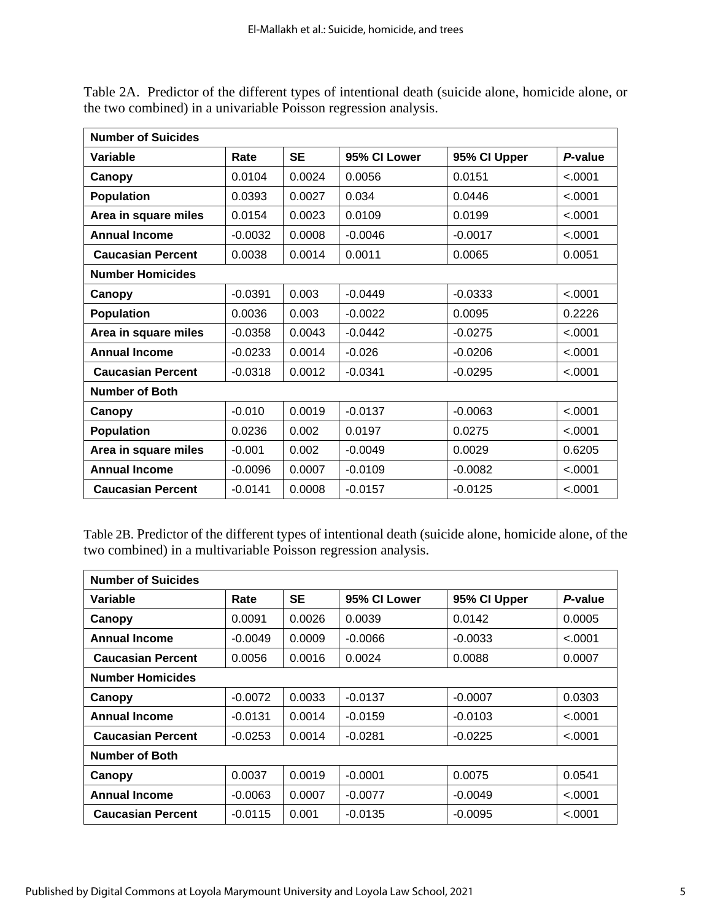| <b>Number of Suicides</b> |           |           |              |              |         |  |  |
|---------------------------|-----------|-----------|--------------|--------------|---------|--|--|
| Variable                  | Rate      | <b>SE</b> | 95% CI Lower | 95% CI Upper | P-value |  |  |
| Canopy                    | 0.0104    | 0.0024    | 0.0056       | 0.0151       | < .0001 |  |  |
| <b>Population</b>         | 0.0393    | 0.0027    | 0.034        | 0.0446       | < .0001 |  |  |
| Area in square miles      | 0.0154    | 0.0023    | 0.0109       | 0.0199       | < .0001 |  |  |
| <b>Annual Income</b>      | $-0.0032$ | 0.0008    | $-0.0046$    | $-0.0017$    | < .0001 |  |  |
| <b>Caucasian Percent</b>  | 0.0038    | 0.0014    | 0.0011       | 0.0065       | 0.0051  |  |  |
| <b>Number Homicides</b>   |           |           |              |              |         |  |  |
| Canopy                    | $-0.0391$ | 0.003     | $-0.0449$    | $-0.0333$    | < .0001 |  |  |
| <b>Population</b>         | 0.0036    | 0.003     | $-0.0022$    | 0.0095       | 0.2226  |  |  |
| Area in square miles      | $-0.0358$ | 0.0043    | $-0.0442$    | $-0.0275$    | < .0001 |  |  |
| <b>Annual Income</b>      | $-0.0233$ | 0.0014    | $-0.026$     | $-0.0206$    | < .0001 |  |  |
| <b>Caucasian Percent</b>  | $-0.0318$ | 0.0012    | $-0.0341$    | $-0.0295$    | < .0001 |  |  |
| <b>Number of Both</b>     |           |           |              |              |         |  |  |
| Canopy                    | $-0.010$  | 0.0019    | $-0.0137$    | $-0.0063$    | < .0001 |  |  |
| <b>Population</b>         | 0.0236    | 0.002     | 0.0197       | 0.0275       | < .0001 |  |  |
| Area in square miles      | $-0.001$  | 0.002     | $-0.0049$    | 0.0029       | 0.6205  |  |  |
| <b>Annual Income</b>      | $-0.0096$ | 0.0007    | $-0.0109$    | $-0.0082$    | < .0001 |  |  |
| <b>Caucasian Percent</b>  | $-0.0141$ | 0.0008    | $-0.0157$    | $-0.0125$    | < .0001 |  |  |

Table 2A. Predictor of the different types of intentional death (suicide alone, homicide alone, or the two combined) in a univariable Poisson regression analysis.

Table 2B. Predictor of the different types of intentional death (suicide alone, homicide alone, of the two combined) in a multivariable Poisson regression analysis.

| <b>Number of Suicides</b> |           |           |              |              |         |  |  |  |
|---------------------------|-----------|-----------|--------------|--------------|---------|--|--|--|
| Variable                  | Rate      | <b>SE</b> | 95% CI Lower | 95% CI Upper | P-value |  |  |  |
| Canopy                    | 0.0091    | 0.0026    | 0.0039       | 0.0142       | 0.0005  |  |  |  |
| <b>Annual Income</b>      | $-0.0049$ | 0.0009    | $-0.0066$    | $-0.0033$    | < .0001 |  |  |  |
| <b>Caucasian Percent</b>  | 0.0056    | 0.0016    | 0.0024       | 0.0088       | 0.0007  |  |  |  |
| <b>Number Homicides</b>   |           |           |              |              |         |  |  |  |
| Canopy                    | $-0.0072$ | 0.0033    | $-0.0137$    | $-0.0007$    | 0.0303  |  |  |  |
| <b>Annual Income</b>      | $-0.0131$ | 0.0014    | $-0.0159$    | $-0.0103$    | < .0001 |  |  |  |
| <b>Caucasian Percent</b>  | $-0.0253$ | 0.0014    | $-0.0281$    | $-0.0225$    | < .0001 |  |  |  |
| <b>Number of Both</b>     |           |           |              |              |         |  |  |  |
| Canopy                    | 0.0037    | 0.0019    | $-0.0001$    | 0.0075       | 0.0541  |  |  |  |
| <b>Annual Income</b>      | $-0.0063$ | 0.0007    | $-0.0077$    | $-0.0049$    | < .0001 |  |  |  |
| <b>Caucasian Percent</b>  | $-0.0115$ | 0.001     | $-0.0135$    | $-0.0095$    | < .0001 |  |  |  |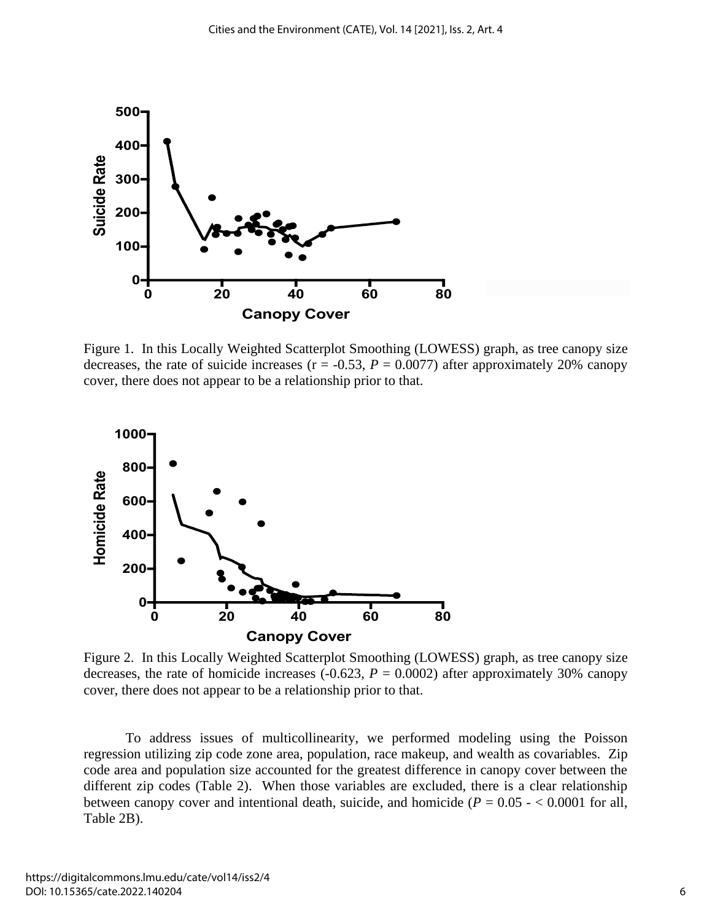

Figure 1. In this Locally Weighted Scatterplot Smoothing (LOWESS) graph, as tree canopy size decreases, the rate of suicide increases ( $r = -0.53$ ,  $P = 0.0077$ ) after approximately 20% canopy cover, there does not appear to be a relationship prior to that.



Figure 2. In this Locally Weighted Scatterplot Smoothing (LOWESS) graph, as tree canopy size decreases, the rate of homicide increases  $(-0.623, P = 0.0002)$  after approximately 30% canopy cover, there does not appear to be a relationship prior to that.

To address issues of multicollinearity, we performed modeling using the Poisson regression utilizing zip code zone area, population, race makeup, and wealth as covariables. Zip code area and population size accounted for the greatest difference in canopy cover between the different zip codes (Table 2). When those variables are excluded, there is a clear relationship between canopy cover and intentional death, suicide, and homicide  $(P = 0.05 - < 0.0001$  for all, Table 2B).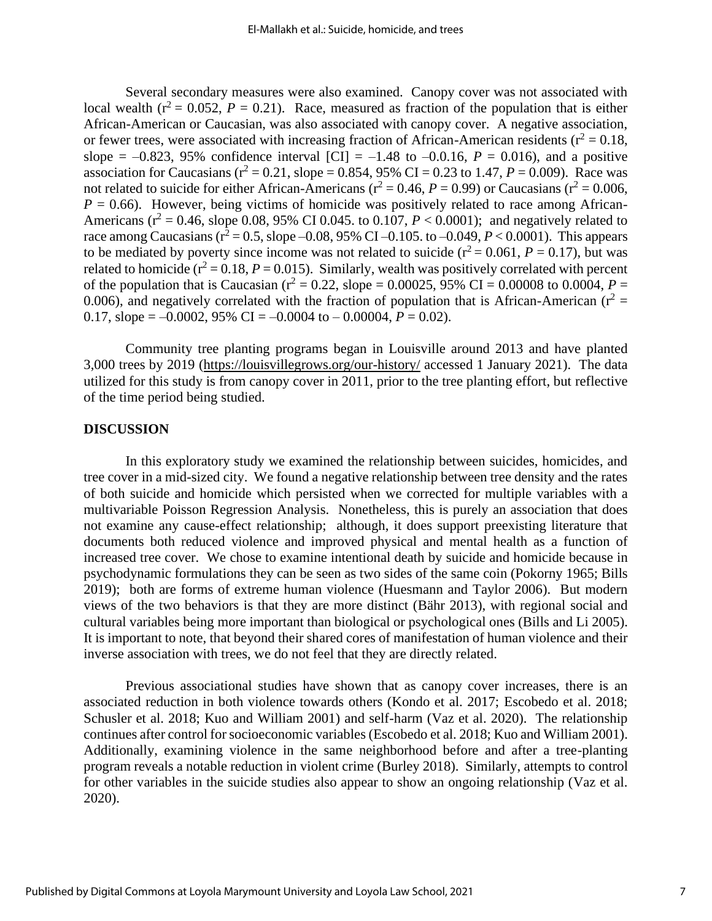Several secondary measures were also examined. Canopy cover was not associated with local wealth ( $r^2 = 0.052$ ,  $P = 0.21$ ). Race, measured as fraction of the population that is either African-American or Caucasian, was also associated with canopy cover. A negative association, or fewer trees, were associated with increasing fraction of African-American residents ( $r^2 = 0.18$ , slope =  $-0.823$ , 95% confidence interval [CI] =  $-1.48$  to  $-0.016$ ,  $P = 0.016$ ), and a positive association for Caucasians ( $r^2 = 0.21$ , slope = 0.854, 95% CI = 0.23 to 1.47,  $P = 0.009$ ). Race was not related to suicide for either African-Americans ( $r^2 = 0.46$ ,  $P = 0.99$ ) or Caucasians ( $r^2 = 0.006$ ,  $P = 0.66$ ). However, being victims of homicide was positively related to race among African-Americans ( $r^2 = 0.46$ , slope 0.08, 95% CI 0.045. to 0.107,  $P < 0.0001$ ); and negatively related to race among Caucasians ( $r^2 = 0.5$ , slope –0.08, 95% CI –0.105. to –0.049,  $P < 0.0001$ ). This appears to be mediated by poverty since income was not related to suicide  $(r^2 = 0.061, P = 0.17)$ , but was related to homicide ( $r^2$  = 0.18, *P* = 0.015). Similarly, wealth was positively correlated with percent of the population that is Caucasian ( $r^2 = 0.22$ , slope = 0.00025, 95% CI = 0.00008 to 0.0004, *P* = 0.006), and negatively correlated with the fraction of population that is African-American ( $r^2$  = 0.17, slope =  $-0.0002$ , 95% CI =  $-0.0004$  to  $-0.00004$ ,  $P = 0.02$ ).

Community tree planting programs began in Louisville around 2013 and have planted 3,000 trees by 2019 [\(https://louisvillegrows.org/our-history/](https://louisvillegrows.org/our-history/) accessed 1 January 2021). The data utilized for this study is from canopy cover in 2011, prior to the tree planting effort, but reflective of the time period being studied.

#### **DISCUSSION**

In this exploratory study we examined the relationship between suicides, homicides, and tree cover in a mid-sized city. We found a negative relationship between tree density and the rates of both suicide and homicide which persisted when we corrected for multiple variables with a multivariable Poisson Regression Analysis. Nonetheless, this is purely an association that does not examine any cause-effect relationship; although, it does support preexisting literature that documents both reduced violence and improved physical and mental health as a function of increased tree cover. We chose to examine intentional death by suicide and homicide because in psychodynamic formulations they can be seen as two sides of the same coin (Pokorny 1965; Bills 2019); both are forms of extreme human violence (Huesmann and Taylor 2006). But modern views of the two behaviors is that they are more distinct (Bähr 2013), with regional social and cultural variables being more important than biological or psychological ones (Bills and Li 2005). It is important to note, that beyond their shared cores of manifestation of human violence and their inverse association with trees, we do not feel that they are directly related.

Previous associational studies have shown that as canopy cover increases, there is an associated reduction in both violence towards others (Kondo et al. 2017; Escobedo et al. 2018; Schusler et al. 2018; Kuo and William 2001) and self-harm (Vaz et al. 2020). The relationship continues after control for socioeconomic variables (Escobedo et al. 2018; Kuo and William 2001). Additionally, examining violence in the same neighborhood before and after a tree-planting program reveals a notable reduction in violent crime (Burley 2018). Similarly, attempts to control for other variables in the suicide studies also appear to show an ongoing relationship (Vaz et al. 2020).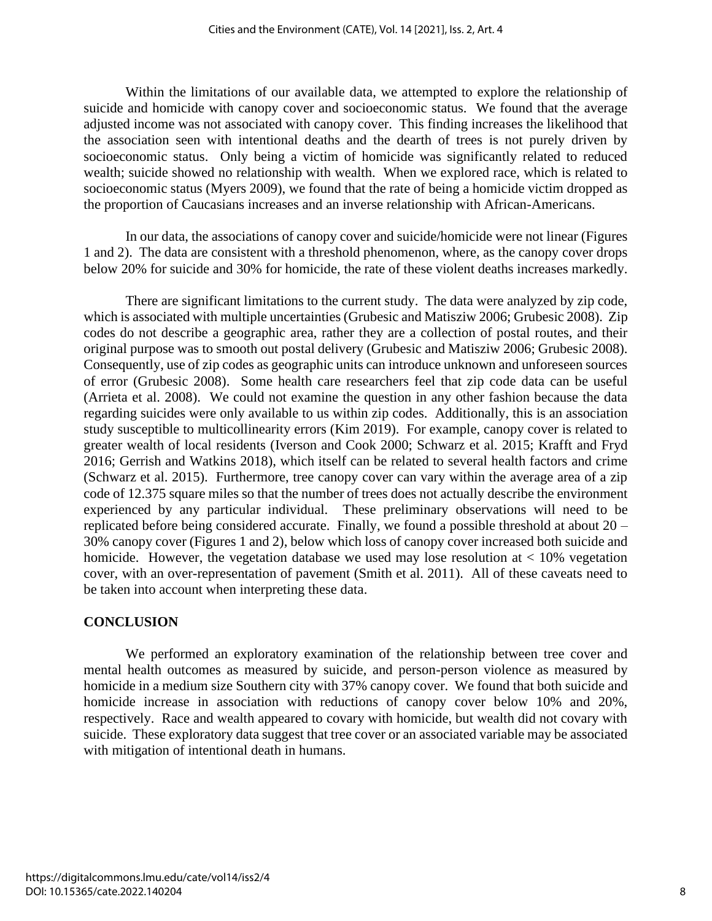Within the limitations of our available data, we attempted to explore the relationship of suicide and homicide with canopy cover and socioeconomic status. We found that the average adjusted income was not associated with canopy cover. This finding increases the likelihood that the association seen with intentional deaths and the dearth of trees is not purely driven by socioeconomic status. Only being a victim of homicide was significantly related to reduced wealth; suicide showed no relationship with wealth. When we explored race, which is related to socioeconomic status (Myers 2009), we found that the rate of being a homicide victim dropped as the proportion of Caucasians increases and an inverse relationship with African-Americans.

In our data, the associations of canopy cover and suicide/homicide were not linear (Figures 1 and 2). The data are consistent with a threshold phenomenon, where, as the canopy cover drops below 20% for suicide and 30% for homicide, the rate of these violent deaths increases markedly.

There are significant limitations to the current study. The data were analyzed by zip code, which is associated with multiple uncertainties (Grubesic and Matisziw 2006; Grubesic 2008). Zip codes do not describe a geographic area, rather they are a collection of postal routes, and their original purpose was to smooth out postal delivery (Grubesic and Matisziw 2006; Grubesic 2008). Consequently, use of zip codes as geographic units can introduce unknown and unforeseen sources of error (Grubesic 2008). Some health care researchers feel that zip code data can be useful (Arrieta et al. 2008). We could not examine the question in any other fashion because the data regarding suicides were only available to us within zip codes. Additionally, this is an association study susceptible to multicollinearity errors (Kim 2019). For example, canopy cover is related to greater wealth of local residents (Iverson and Cook 2000; Schwarz et al. 2015; Krafft and Fryd 2016; Gerrish and Watkins 2018), which itself can be related to several health factors and crime (Schwarz et al. 2015). Furthermore, tree canopy cover can vary within the average area of a zip code of 12.375 square miles so that the number of trees does not actually describe the environment experienced by any particular individual. These preliminary observations will need to be replicated before being considered accurate. Finally, we found a possible threshold at about 20 – 30% canopy cover (Figures 1 and 2), below which loss of canopy cover increased both suicide and homicide. However, the vegetation database we used may lose resolution at  $\lt 10\%$  vegetation cover, with an over-representation of pavement (Smith et al. 2011). All of these caveats need to be taken into account when interpreting these data.

#### **CONCLUSION**

We performed an exploratory examination of the relationship between tree cover and mental health outcomes as measured by suicide, and person-person violence as measured by homicide in a medium size Southern city with 37% canopy cover. We found that both suicide and homicide increase in association with reductions of canopy cover below 10% and 20%, respectively. Race and wealth appeared to covary with homicide, but wealth did not covary with suicide. These exploratory data suggest that tree cover or an associated variable may be associated with mitigation of intentional death in humans.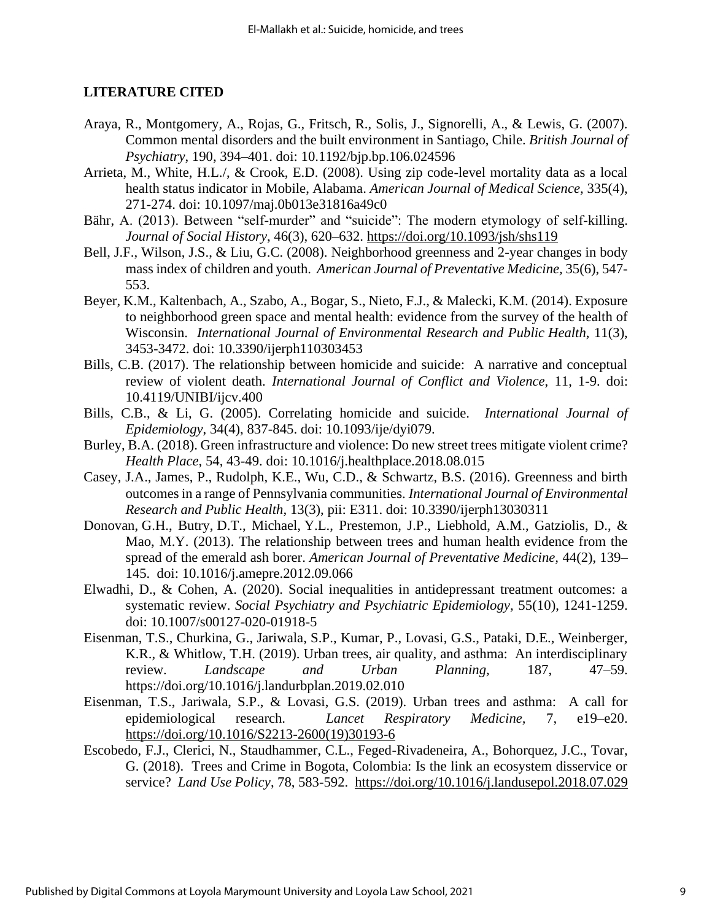#### **LITERATURE CITED**

- Araya, R., Montgomery, A., Rojas, G., Fritsch, R., Solis, J., Signorelli, A., & Lewis, G. (2007). Common mental disorders and the built environment in Santiago, Chile. *British Journal of Psychiatry*, 190, 394–401. doi: 10.1192/bjp.bp.106.024596
- Arrieta, M., White, H.L./, & Crook, E.D. (2008). Using zip code-level mortality data as a local health status indicator in Mobile, Alabama. *American Journal of Medical Science,* 335(4), 271-274. doi: 10.1097/maj.0b013e31816a49c0
- Bähr, A. (2013). Between "self-murder" and "suicide": The modern etymology of self-killing. *Journal of Social History*, 46(3), 620–632.<https://doi.org/10.1093/jsh/shs119>
- Bell, J.F., Wilson, J.S., & Liu, G.C. (2008). Neighborhood greenness and 2-year changes in body mass index of children and youth. *American Journal of Preventative Medicine,* 35(6), 547- 553.
- Beyer, K.M., Kaltenbach, A., Szabo, A., Bogar, S., Nieto, F.J., & Malecki, K.M. (2014). Exposure to neighborhood green space and mental health: evidence from the survey of the health of Wisconsin. *International Journal of Environmental Research and Public Health*, 11(3), 3453-3472. doi: 10.3390/ijerph110303453
- Bills, C.B. (2017). The relationship between homicide and suicide: A narrative and conceptual review of violent death. *International Journal of Conflict and Violence*, 11, 1-9. doi: 10.4119/UNIBI/ijcv.400
- Bills, C.B., & Li, G. (2005). Correlating homicide and suicide. *International Journal of Epidemiology*, 34(4), 837-845. doi: 10.1093/ije/dyi079.
- Burley, B.A. (2018). Green infrastructure and violence: Do new street trees mitigate violent crime? *Health Place*, 54, 43-49. doi: 10.1016/j.healthplace.2018.08.015
- Casey, J.A., James, P., Rudolph, K.E., Wu, C.D., & Schwartz, B.S. (2016). Greenness and birth outcomes in a range of Pennsylvania communities. *International Journal of Environmental Research and Public Health,* 13(3), pii: E311. doi: 10.3390/ijerph13030311
- Donovan, G.H., Butry, D.T., Michael, Y.L., Prestemon, J.P., Liebhold, A.M., Gatziolis, D., & Mao, M.Y. (2013). The relationship between trees and human health evidence from the spread of the emerald ash borer. *American Journal of Preventative Medicine,* 44(2), 139– 145. doi: 10.1016/j.amepre.2012.09.066
- Elwadhi, D., & Cohen, A. (2020). Social inequalities in antidepressant treatment outcomes: a systematic review. *Social Psychiatry and Psychiatric Epidemiology,* 55(10), 1241-1259. doi: 10.1007/s00127-020-01918-5
- Eisenman, T.S., Churkina, G., Jariwala, S.P., Kumar, P., Lovasi, G.S., Pataki, D.E., Weinberger, K.R., & Whitlow, T.H. (2019). Urban trees, air quality, and asthma: An interdisciplinary review. *Landscape and Urban Planning,* 187, 47–59. https://doi.org/10.1016/j.landurbplan.2019.02.010
- Eisenman, T.S., Jariwala, S.P., & Lovasi, G.S. (2019). Urban trees and asthma: A call for epidemiological research. *Lancet Respiratory Medicine,* 7, e19–e20. [https://doi.org/10.1016/S2213-2600\(19\)30193-6](https://doi.org/10.1016/S2213-2600(19)30193-6)
- Escobedo, F.J., Clerici, N., Staudhammer, C.L., Feged-Rivadeneira, A., Bohorquez, J.C., Tovar, G. (2018). Trees and Crime in Bogota, Colombia: Is the link an ecosystem disservice or service? *Land Use Policy*, 78, 583-592. <https://doi.org/10.1016/j.landusepol.2018.07.029>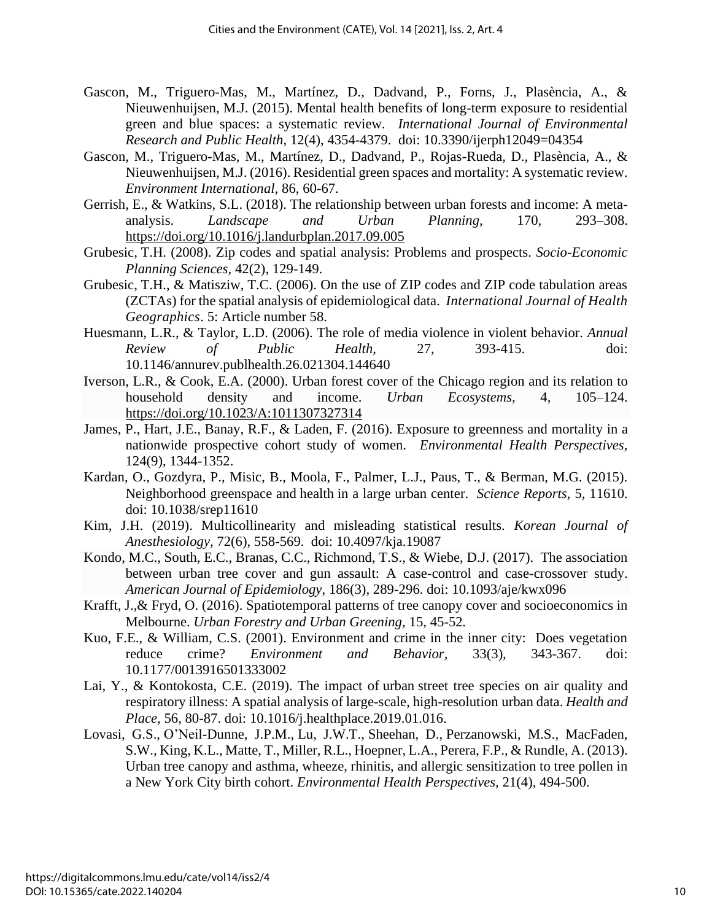- Gascon, M., Triguero-Mas, M., Martínez, D., Dadvand, P., Forns, J., Plasència, A., & Nieuwenhuijsen, M.J. (2015). Mental health benefits of long-term exposure to residential green and blue spaces: a systematic review. *International Journal of Environmental Research and Public Health,* 12(4), 4354-4379. doi: 10.3390/ijerph12049=04354
- Gascon, M., Triguero-Mas, M., Martínez, D., Dadvand, P., Rojas-Rueda, D., Plasència, A., & Nieuwenhuijsen, M.J. (2016). Residential green spaces and mortality: A systematic review. *Environment International,* 86, 60-67.
- Gerrish, E., & Watkins, S.L. (2018). The relationship between urban forests and income: A metaanalysis. *Landscape and Urban Planning,* 170, 293–308. <https://doi.org/10.1016/j.landurbplan.2017.09.005>
- Grubesic, T.H. (2008). Zip codes and spatial analysis: Problems and prospects. *Socio-Economic Planning Sciences,* 42(2), 129-149.
- Grubesic, T.H., & Matisziw, T.C. (2006). On the use of ZIP codes and ZIP code tabulation areas (ZCTAs) for the spatial analysis of epidemiological data. *International Journal of Health Geographics*. 5: Article number 58.
- Huesmann, L.R., & Taylor, L.D. (2006). The role of media violence in violent behavior. *Annual Review of Public Health,* 27, 393-415. doi: 10.1146/annurev.publhealth.26.021304.144640
- Iverson, L.R., & Cook, E.A. (2000). Urban forest cover of the Chicago region and its relation to household density and income. *Urban Ecosystems,* 4, 105–124. <https://doi.org/10.1023/A:1011307327314>
- James, P., Hart, J.E., Banay, R.F., & Laden, F. (2016). Exposure to greenness and mortality in a nationwide prospective cohort study of women. *Environmental Health Perspectives,* 124(9), 1344-1352.
- Kardan, O., Gozdyra, P., Misic, B., Moola, F., Palmer, L.J., Paus, T., & Berman, M.G. (2015). Neighborhood greenspace and health in a large urban center. *Science Reports,* 5, 11610. doi: 10.1038/srep11610
- Kim, J.H. (2019). Multicollinearity and misleading statistical results. *Korean Journal of Anesthesiology,* 72(6), 558-569. doi: 10.4097/kja.19087
- Kondo, M.C., South, E.C., Branas, C.C., Richmond, T.S., & Wiebe, D.J. (2017). The association between urban tree cover and gun assault: A case-control and case-crossover study. *American Journal of Epidemiology*, 186(3), 289-296. doi: 10.1093/aje/kwx096
- Krafft, J.,& Fryd, O. (2016). Spatiotemporal patterns of tree canopy cover and socioeconomics in Melbourne. *Urban Forestry and Urban Greening,* 15, 45-52*.*
- Kuo, F.E., & William, C.S. (2001). Environment and crime in the inner city: Does vegetation reduce crime? *Environment and Behavior,* 33(3), 343-367. doi: 10.1177/0013916501333002
- Lai, Y., & Kontokosta, C.E. (2019). The impact of urban street tree species on air quality and respiratory illness: A spatial analysis of large-scale, high-resolution urban data. *Health and Place,* 56, 80-87. doi: 10.1016/j.healthplace.2019.01.016.
- Lovasi, G.S., O'Neil-Dunne, J.P.M., Lu, J.W.T., Sheehan, D., Perzanowski, M.S., MacFaden, S.W., King, K.L., Matte, T., Miller, R.L., Hoepner, L.A., Perera, F.P., & Rundle, A. (2013). Urban tree canopy and asthma, wheeze, rhinitis, and allergic sensitization to tree pollen in a New York City birth cohort. *Environmental Health Perspectives,* 21(4), 494-500.